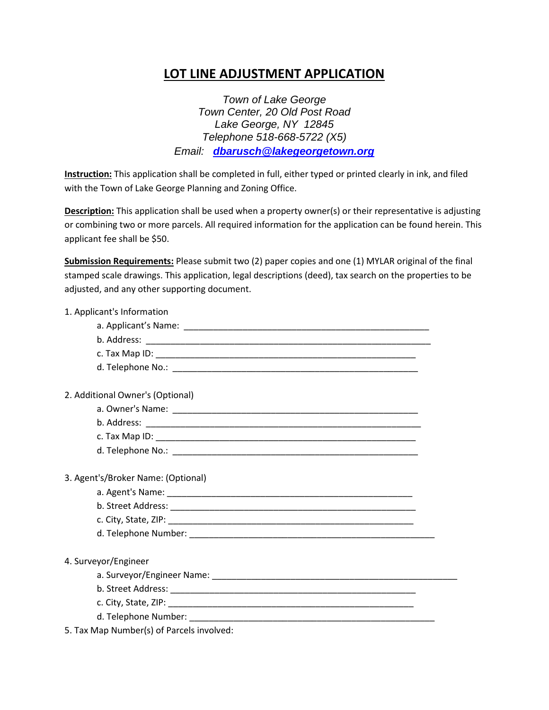## **LOT LINE ADJUSTMENT APPLICATION**

*Town of Lake George Town Center, 20 Old Post Road Lake George, NY 12845 Telephone 518-668-5722 (X5) Email: [dbarusch@lakegeorgetown.org](mailto:dbarusch@lakegeorgetown.org)*

**Instruction:** This application shall be completed in full, either typed or printed clearly in ink, and filed with the Town of Lake George Planning and Zoning Office.

**Description:** This application shall be used when a property owner(s) or their representative is adjusting or combining two or more parcels. All required information for the application can be found herein. This applicant fee shall be \$50.

**Submission Requirements:** Please submit two (2) paper copies and one (1) MYLAR original of the final stamped scale drawings. This application, legal descriptions (deed), tax search on the properties to be adjusted, and any other supporting document.

| 1. Applicant's Information                |  |
|-------------------------------------------|--|
|                                           |  |
|                                           |  |
|                                           |  |
|                                           |  |
| 2. Additional Owner's (Optional)          |  |
|                                           |  |
|                                           |  |
|                                           |  |
|                                           |  |
| 3. Agent's/Broker Name: (Optional)        |  |
|                                           |  |
|                                           |  |
|                                           |  |
|                                           |  |
| 4. Surveyor/Engineer                      |  |
|                                           |  |
|                                           |  |
|                                           |  |
|                                           |  |
| 5. Tax Map Number(s) of Parcels involved: |  |